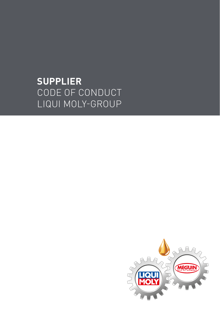# **SUPPLIER** CODE OF CONDUCT LIQUI MOLY-GROUP

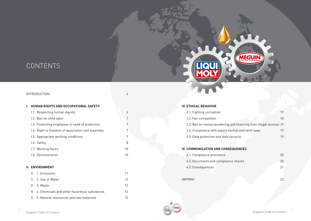## CONTENTS

#### INTRODUCTION 4

#### **I. HUMAN RIGHTS AND OCCUPATIONAL SAFETY**

- **I.1. Respecting human dignity** 6 I.2. Ban on child labor 7 I.3. Protecting employees in need of protection 7 I.4. Right to freedom of association and assembly 7 I.5. Appropriate working conditions 7
- I.6. Safety 8
- I.7. Working hours 10 I.8. Remuneration 10

#### **II. ENVIRONMENT**

| IL 1 Emissions                                         |    |
|--------------------------------------------------------|----|
| II. 2. Use of Water                                    | 12 |
| IL 3. Waste                                            | 12 |
| <b>II.</b> 4. Chemicals and other hazardous substances | 14 |
| II. 5. Natural ressources and raw materials            | 15 |

#### **III. ETHICAL BEHAVIOR**

| 3.1. Fighting corruption                                           | 17 |
|--------------------------------------------------------------------|----|
| 3.2. Fair competition                                              | 18 |
| 3.3. Ban on money laundering and financing from illegal sources 19 |    |
| 3.4. Compliance with export control and tariff laws                | 19 |
| 3.5. Data protection and data security                             | 19 |

MEGUIN

#### **IV. COMMUNICATION AND CONSEQUENCES**

| 4.1. Compliance procedure            | 2Π |
|--------------------------------------|----|
| 4.2. Documents and compliance checks | 20 |
| 4.3. Consequences                    |    |
|                                      |    |
| <b>IMPRINT</b>                       |    |

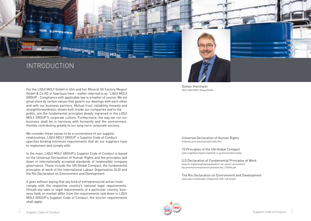

For the LIQUI MOLY GmbH in Ulm and her Mineral Oil Factory Meguin GmbH & Co KG in Saarlouis here - inafter referred to as "LIQUI MOLY GROUP - Compliance with applicable law is a matter of course. We set great store by certain values that govern our dealings with each other and with our business partners. Mutual trust, reliability, honesty and straightforwardness, shown both inside our companies and to the public, are the fundamental principles deeply ingrained in the LIQUI MOLY GROUP'S corporate culture. Furthermore, the way we run our business shall be in harmony with humanity and the environment,

thereby contributing greatly to our long-term corporate success.

We consider these values to be a cornerstone of our supplier relationships. LIQUI MOLY GROUP´s Supplier Code of Conduct specifies binding minimum requirements that all our suppliers have to implement and comply with.

In the main, LIQUI MOLY GROUP's Supplier Code of Conduct is based on the Universal Declaration of Human Rights and the principles laid down in internationally accepted standards of responsible company governance. These include the UN Global Compact, the fundamental principles at work of the International Labour Organization (ILO) and the Rio Declaration on Environment and Development.

It goes without saying that any kind of entrepreneurial action must comply with the respective country's national legal requirements. Should any laws or legal requirements of a particular country, business field, or market differ from the requirements laid down in LIQUI MOLY GROUP's Supplier Code of Conduct, the stricter requirements shall apply.

Günter Hiermaier CEO LIQUI MOLY Group GmbH

Universal Declaration of Human Rights [hrlibrary.umn.edu/instree/b1udhr.htm](http://hrlibrary.umn.edu/instree/b1udhr.htm)

[10](http://www.unglobalcompact.org/what-is-gc/mission/principles
) Principles of the UN Global Compact [www.unglobalcompact.org/what-is-gc/mission/principles](http://www.unglobalcompact.org/what-is-gc/mission/principles
)

[ILO D](http://www.ilo.org/wcmsp5/groups/public/–ed_norm/–declaration/ 
documents/normativeinstrument/wcms_716594.pdf)eclaration of Fundamental Principles at Work www.ilo.org/wcmsp5/groups/public/–ed\_norm/–declaration/ documents/normativeinstrument/wcms\_716594.pdf

[The Rio Declaration on Environment and Development](http://www.eolss.net/Sample-Chapters/C16/E1-48-43.pdf) [www.eolss.net/Sample-Chapters/C16/E1-48-43.pdf](http://www.eolss.net/Sample-Chapters/C16/E1-48-43.pdf)

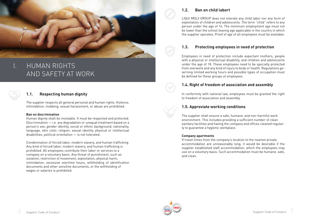

# I. HUMAN RIGHTS AND SAFETY AT WORK

#### **1.1. Respecting human dignity**

The supplier respects all general personal and human rights. Violence, intimidation, mobbing, sexual harassment, or abuse are prohibited.

#### **Ban on discrimination**

Human dignity shall be inviolable. It must be respected and protected. Discrimination — i.e. any degradation or unequal treatment based on a person's sex, gender identity, social or ethnic background, nationality, language, skin color, religion, sexual identity, physical or intellectual disabilities, political orientation — is not tolerated.

Condemnation of forced labor, modern slavery, and human trafficking Any kind of forced labor, modern slavery, and human trafficking is prohibited. All employees contribute their labor or services to a company on a voluntary basis. Any threat of punishment, such as isolation, restriction of movement, exploitation, physical harm, intimidation, excessive overtime hours, withholding of identification documents and other sensitive documents, or the withholding of wages or salaries is prohibited.



LIQUI MOLY GROUP does not tolerate any child labor nor any form of exploitation of children and adolescents. The term "child" refers to any person under the age of 14. The minimum employment age must not be lower than the school leaving age applicable in the country in which the supplier operates. Proof of age of all employees must be available.

#### **1.3. Protecting employees in need of protection**

Employees in need of protection include expectant mothers, people with a physical or intellectual disability, and children and adolescents under the age of 18. These employees need to be specially protected from overwork and any kind of injury to body or health. Regulations governing limited working hours and possible types of occupation must be defined for these groups of employees.

#### **1.4. Right of freedom of association and assembly**

In conformity with national law, employees must be granted the right to freedom of association and assembly.

#### **1.5. Approviate working conditions**

The supplier shall ensure a safe, humane, and non-harmful work environment. This includes providing a sufficient number of clean sanitary facilities and having the company and offices cleaned regularly to guarantee a hygienic workplace.

#### **Company apartments**

If travel times from the company's location to the nearest private accommodation are unreasonably long, it would be desirable if the supplier established staff accommodation, which the employees may use on a voluntary basis. Such accommodation must be humane, safe, and clean.

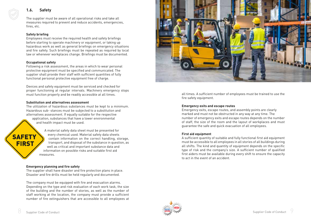#### **1.6. Safety**

The supplier must be aware of all operational risks and take all measures required to prevent and reduce accidents, emergencies, fires, etc.

#### **Safety briefing**

Employees must receive the required health and safety briefings before starting to operate machinery or equipment, or taking up hazardous work as well as general briefings on emergency situations and fire safety. Such briefings must be repeated as required by local law or whenever workplaces change. Briefings must be documented.

#### **Occupational safety**

Following a risk assessment, the areas in which to wear personal protective equipment must be specified and communicated. The supplier shall provide their staff with sufficient quantities of fully functional personal protective equipment free of charge.

Devices and safety equipment must be serviced and checked for proper functioning at regular intervals. Machinery emergency stops must function properly and be readily accessible at all times.

#### **Substitution and alternatives assessment**

The utilization of hazardous substances must be kept to a minimum. Hazardous sub- stances must be subjected to a substitution and alternatives assessment. If equally suitable for the respective application, substances that have a lower environmental and health impact must be used.

A material safety data sheet must be presented for every chemical used. Material safety data sheets **SAFETY** contain information on the correct handling, storage, **FIRST** transport, and disposal of the substance in question, as well as critical and important substance data and information on possible risks and suitable first aid measures.

#### **Emergency planning and fire safety**

The supplier shall have disaster and fire protection plans in place. Disaster and fire drills must be held regularly and documented.

The company must be equipped with fire and evacuation alarms. Depending on the type and risk evaluation of each work task, the size of the building and the number of stories, as well as the number of staff working at the location, the company must provide a sufficient number of fire extinguishers that are accessible to all employees at



all times. A sufficient number of employees must be trained to use the fire safety equipment.

#### **Emergency exits and escape routes**

Emergency exits, escape routes, and assembly points are clearly marked and must not be obstructed in any way at any time. The number of emergency exits and escape routes depends on the number of staff, the size of the room and the layout of workplaces and must guarantee the safe and quick evacuation of all employees.

#### **First aid equipment**

A sufficient quantity of suitable and fully functional first aid equipment must be accessible to all employees in all stories of all buildings during all shifts. The kind and quantity of equipment depends on the specific type of risk and the company's size. A sufficient number of qualified first aiders must be available during every shift to ensure the capacity to act in the event of an accident.

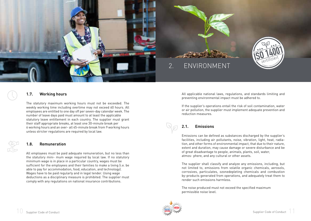

# 2. ENVIRONMENT



#### **1.7. Working hours**

The statutory maximum working hours must not be exceeded. The weekly working time including overtime may not exceed 60 hours. All employees are entitled to one day off per seven-day calendar week. The number of leave days paid must amount to at least the applicable statutory leave entitlement in each country. The supplier must grant their staff appropriate breaks, at least one 30-minute break per 6 working hours and an over- all 45-minute break from 9 working hours unless stricter regulations are required by local law.

#### **1.8. Remuneration**

All employees must be paid adequate remuneration, but no less than the statutory mini- mum wage required by local law. If no statutory minimum wage is in place in a particular country, wages must be sufficient for the employees and their families to make a living (i.e. be able to pay for accommodation, food, education, and technology). Wages have to be paid regularly and in legal tender. Using wage deductions as a disciplinary measure is prohibited. The supplier must comply with any regulations on national insurance contributions.

All applicable national laws, regulations, and standards limiting and preventing environmental impact must be adhered to.

If the supplier's operations entail the risk of soil contamination, water or air pollution, the supplier must implement adequate prevention and reduction measures.

#### **2.1. Emissions**

Emissions can be defined as substances discharged by the supplier's facilities, including air pollutants, noise, vibration, light, heat, radiation, and other forms of environmental impact, that due to their nature, extent and duration, may cause damage or severe disturbance and be of great disadvantage to people, animals, plants, soil, water, atmos- phere, and any cultural or other assets.

The supplier shall classify and analyze any emissions, including, but not limited to, emissions from volatile organic chemicals, aerosols, corrosives, particulates, ozonedepleting chemicals and combustion by-products generated from operations, and adequately treat them to render such emissions harmless.

The noise produced must not exceed the specified maximum permissible noise level.

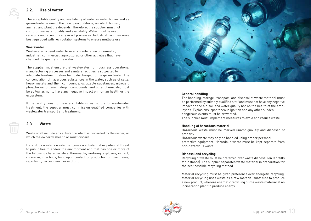#### **2.2. Use of water**

The acceptable quality and availability of water in water bodies and as groundwater is one of the basic preconditions, on which human, animal, and plant life depends. Therefore, the supplier must not compromise water quality and availability. Water must be used carefully and economically in all processes. Industrial facilities were best equipped with recirculation systems to ensure multiple use.

#### **Wastewater**

Wastewater is used water from any combination of domestic, industrial, commercial, agricultural, or other activities that have changed the quality of the water.

The supplier must ensure that wastewater from business operations, manufacturing prccesses and sanitary facilities is subjected to adequate treatment before being discharged to the groundwater. The concentration of hazardous substances in the water, such as of salts, heavy metals and their compounds, oxidizable substances, nitrogen, phosphorus, organic halogen compounds, and other chemicals, must be so low as not to have any negative impact on human health or the ecosystem.

If the facility does not have a suitable infrastructure for wastewater treatment, the supplier must commission qualified companies with wastewater transport and treatment.

**2.3. Waste**

Waste shall include any substance which is discarded by the owner, or which the owner wishes to or must discard.

Hazardous waste is waste that poses a substantial or potential threat to public health and/or the environment and that has one or more of the following characteristics: flammable, oxidizing, explosive, irritant, corrosive, infectious, toxic upon contact or production of toxic gases, reprotoxic, carcinogenic, or ecotoxic.



#### **General handling**

The handling, storage, transport, and disposal of waste material must be performed by suitably qualified staff and must not have any negative impact on the air, soil and water quality nor on the health of the employees. Explosions, spontaneous ignition and any other sudden dangerous events must be prevented.

The supplier must implement measures to avoid and reduce waste.

#### **Handling of hazardous material**

Hazardous waste must be marked unambiguously and disposed of properly.

Hazardous waste may only be handled using proper personal protective equipment. Hazardous waste must be kept separate from non-hazardous waste.

#### **Disposal and recycling**

Recycling of waste must be preferred over waste disposal (on landfills for instance). The supplier separates waste material in preparation for the best possible recycling method.

Material recycling must be given preference over energetic recycling. Material recycling uses waste as a raw material substitute to produce a new product, whereas energetic recycling burns waste material at an incineration plant to produce energy.

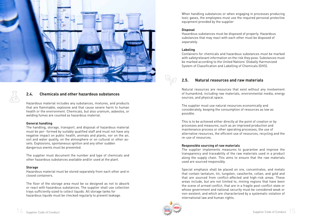

#### **2.4. Chemicals and other hazardous substances**

Hazardous material includes any substances, mixtures, and products that are flammable, explosive and that cause severe harm to human health or the environment. Chemicals, but also uranium, asbestos, or welding fumes are counted as hazardous material.

#### **General handling**

The handling, storage, transport, and disposal of hazardous material must be per- formed by suitably qualified staff and must not have any negative impact on public health, animals and plants, nor on the air, soil and water quality, on the atmosphere or on cultural or other assets. Explosions, spontaneous ignition and any other sudden dangerous events must be prevented.

The supplier must document the number and type of chemicals and other hazardous substances available and/or used at the plant.

#### **Storage**

Hazardous material must be stored separately from each other and in closed containers.

The floor of the storage area must be so designed as not to absorb or react with hazardous substances. The supplier shall use collection trays sufficiently sized to collect liquids. All storage tanks for hazardous liquids must be checked regularly to prevent leakage.

When handling substances or when engaging in processes producing toxic gases, the employees must use the required personal protective equipment provided by the supplier

#### **Disposal**

Hazardous substances must be disposed of properly. Hazardous substances that may react with each other must be disposed of separately.

#### **Labeling**

Containers for chemicals and hazardous substances must be marked with safetyrelevant information on the risk they pose. Substances must be marked according to the United Nations' Globally Harmonized System of Classification and Labelling of Chemicals (GHS).

### **2.5. Natural resources and raw materials**

Natural resources are resources that exist without any involvement of humankind, including raw materials, environmental media, energy sources, and physical space.

The supplier must use natural resources economically and considerately, keeping the consumption of resources as low as possible.

This is to be achieved either directly at the point of creation or by processes and measures, such as an improved production and maintenance process or other operating processes, the use of alternative resources, the efficient use of resources, recycling and the re-use of resources.

#### **Responsible sourcing of raw materials**

The supplier implements measures to guarantee and improve the transparency and traceability of the raw materials used in a product along the supply chain. This aims to ensure that the raw materials used are sourced responsibly.

Special emphasis shall be placed on ore, concentrates, and metals that contain tantalum, tin, tungsten, cassiterite, coltan, and gold and that are sourced from conflict-affected and high-risk areas. These areas include, but are not limited to, mining regions that have been the scene of armed conflict, that are in a fragile post-conflict state or whose government and national security must be considered weak or non-existent, and which are characterized by a systematic violation of international law and human rights.

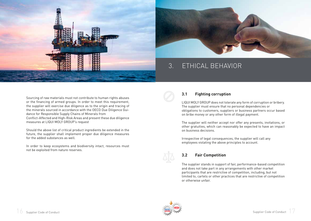



# 3. ETHICAL BEHAVIOR

Sourcing of raw materials must not contribute to human rights abuses or the financing of armed groups. In order to meet this requirement, the supplier will exercise due diligence as to the origin and tracing of the minerals sourced in accordance with the OECD Due Diligence Guidance for Responsible Supply Chains of Minerals from Conflict-Affected and High-Risk Areas and present these due diligence measures at LIQUI MOLY GROUP's request

Should the above list of critical product ingredients be extended in the future, the supplier shall implement proper due diligence measures for the added substances as well.

In order to keep ecosystems and biodiversity intact, resources must not be exploited from nature reserves.



#### **3.1 Fighting corruption**

LIQUI MOLY GROUP does not tolerate any form of corruption or bribery. The supplier must ensure that no personal dependencies or obligations to customers, suppliers or business partners occur based on bribe money or any other form of illegal payment.

The supplier will neither accept nor offer any presents, invitations, or other gratuities, which can reasonably be expected to have an impact on business decisions.

Irrespective of legal consequences, the supplier will call any employees violating the above principles to account.

## **3.2 Fair Competition**

The supplier stands in support of fair, performance-based competition and does not take part in any arrangements with other market participants that are restrictive of competition, including, but not limited to, cartels or other practices that are restrictive of competition or otherwise unfair.

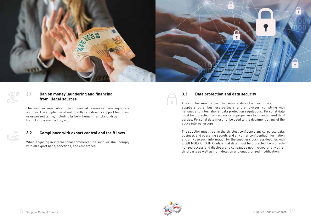

#### **3.1 Ban on money laundering and financing from illegal sources**

The supplier must obtain their financial resources from legitimate sources. The supplier must not directly or indirectly support terrorism or organized crime, including bribery, human trafficking, drug trafficking, arms trading, etc.

#### **3.2 Compliance with export control and tariff laws**

When engaging in international commerce, the supplier shall comply with all export bans, sanctions, and embargoes.

#### **3.3 Data protection and data security**

The supplier must protect the personal data of all customers, suppliers, other business partners, and employees, complying with national and international data protection regulations. Personal data must be protected from access or improper use by unauthorized third parties. Personal data must not be used to the detriment of any of the above interest groups.

The supplier must treat in the strictest confidence any corporate data, business and operating secrets and any other confidential information and only use such information for the supplier's business dealings with LIQUI MOLY GROUP Confidential data must be protected from unaut horized access and disclosure to colleagues not involved or any other third party as well as from deletion and unauthorized modification.

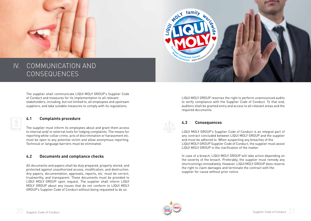



# IV. COMMUNICATION AND CONSEQUENCES

The supplier shall communicate LIQUI MOLY GROUP's Supplier Code of Conduct and measures for its implementation to all relevant stakeholders, including, but not limited to, all employees and upstream suppliers, and take suitable measures to comply with its regulations.

#### **4.1 Complaints procedure**

 $\frac{1}{2}$  ||  $\infty$ 

The supplier must inform its employees about and grant them access to internal and/ or external tools for lodging complaints. The means for reporting white-collar crime, acts of discrimination or harassment etc. must be open to any potential victim and allow anonymous reporting. Technical or language barriers must be eliminated.

#### **4.2 Documents and compliance checks**

All documents and papers shall be duly prepared, properly stored, and protected against unauthorized access, modification, and destruction. Any papers, documentation, approvals, reports, etc. must be correct, trustworthy, and transparent. These documents must be provided to LIQUI MOLY GROUP upon request. The supplier shall inform LIQUI MOLY GROUP about any issues that do not conform to LIQUI MOLY GROUP's Supplier Code of Conduct without being requested to do so.

LIQUI MOLY GROUP reserves the right to perform unannounced audits to verify compliance with the Supplier Code of Conduct. To that end, auditors shall be granted entry and access to all relevant areas and the required documents.

#### **4.3 Consequences**

LIQUI MOLY GROUP's Supplier Code of Conduct is an integral part of any contract concluded between LIQUI MOLY GROUP and the supplier and must be adhered to. When suspecting any breaches of the LIQUI MOLY GROUP Supplier Code of Conduct, the supplier must assist LIQUI MOLY GROUP in the clarification of the matter.

In case of a breach, LIQUI MOLY GROUP will take action depending on the severity of the breach. Preferably, the supplier must remedy any shortcomings immediately. However, LIQUI MOLY GROUP does reserve the right to claim damages and terminate the contract with the supplier for cause without prior notice.

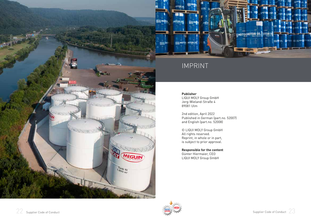

# HOTORNOTOR OIL DTOR OF **EGY MOTOR OTOR OIL**

# IMPRINT

#### **Publisher**

LIQUI MOLY Group GmbH Jerg-Wieland-Straße 4 89081 Ulm

2nd edition, April 2022 Published in German (part.no. 52007) and English (part.no. 52008)

© LIQUI MOLY Group GmbH All rights reserved. Reprint, in whole or in part, is subject to prior approval.

**Responsible for the content** Günter Hiermaier, CEO LIQUI MOLY Group GmbH